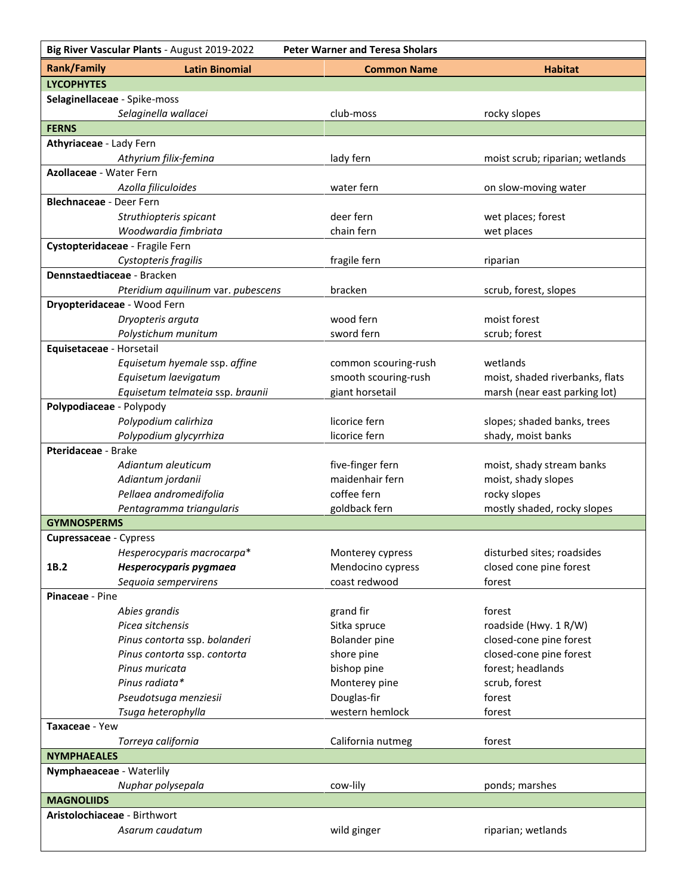|                                | Big River Vascular Plants - August 2019-2022             | <b>Peter Warner and Teresa Sholars</b>  |                                                                  |
|--------------------------------|----------------------------------------------------------|-----------------------------------------|------------------------------------------------------------------|
| <b>Rank/Family</b>             | <b>Latin Binomial</b>                                    | <b>Common Name</b>                      | <b>Habitat</b>                                                   |
| <b>LYCOPHYTES</b>              |                                                          |                                         |                                                                  |
|                                | Selaginellaceae - Spike-moss                             |                                         |                                                                  |
|                                | Selaginella wallacei                                     | club-moss                               | rocky slopes                                                     |
| <b>FERNS</b>                   |                                                          |                                         |                                                                  |
| Athyriaceae - Lady Fern        |                                                          |                                         |                                                                  |
| Azollaceae - Water Fern        | Athyrium filix-femina                                    | lady fern                               | moist scrub; riparian; wetlands                                  |
|                                | Azolla filiculoides                                      | water fern                              | on slow-moving water                                             |
| <b>Blechnaceae</b> - Deer Fern |                                                          |                                         |                                                                  |
|                                | Struthiopteris spicant                                   | deer fern                               | wet places; forest                                               |
|                                | Woodwardia fimbriata                                     | chain fern                              | wet places                                                       |
|                                | Cystopteridaceae - Fragile Fern                          |                                         |                                                                  |
|                                | Cystopteris fragilis                                     | fragile fern                            | riparian                                                         |
|                                | Dennstaedtiaceae - Bracken                               |                                         |                                                                  |
|                                | Pteridium aquilinum var. pubescens                       | bracken                                 | scrub, forest, slopes                                            |
|                                | Dryopteridaceae - Wood Fern                              |                                         |                                                                  |
|                                | Dryopteris arguta                                        | wood fern                               | moist forest                                                     |
|                                | Polystichum munitum                                      | sword fern                              | scrub; forest                                                    |
| Equisetaceae - Horsetail       |                                                          |                                         |                                                                  |
|                                | Equisetum hyemale ssp. affine                            | common scouring-rush                    | wetlands                                                         |
|                                | Equisetum laevigatum<br>Equisetum telmateia ssp. braunii | smooth scouring-rush<br>giant horsetail | moist, shaded riverbanks, flats<br>marsh (near east parking lot) |
| Polypodiaceae - Polypody       |                                                          |                                         |                                                                  |
|                                | Polypodium calirhiza                                     | licorice fern                           | slopes; shaded banks, trees                                      |
|                                | Polypodium glycyrrhiza                                   | licorice fern                           | shady, moist banks                                               |
| Pteridaceae - Brake            |                                                          |                                         |                                                                  |
|                                | Adiantum aleuticum                                       | five-finger fern                        | moist, shady stream banks                                        |
|                                | Adiantum jordanii                                        | maidenhair fern                         | moist, shady slopes                                              |
|                                | Pellaea andromedifolia                                   | coffee fern                             | rocky slopes                                                     |
|                                | Pentagramma triangularis                                 | goldback fern                           | mostly shaded, rocky slopes                                      |
| <b>GYMNOSPERMS</b>             |                                                          |                                         |                                                                  |
| Cupressaceae - Cypress         |                                                          |                                         |                                                                  |
|                                | Hesperocyparis macrocarpa*                               | Monterey cypress                        | disturbed sites; roadsides                                       |
| 1B.2                           | Hesperocyparis pygmaea                                   | Mendocino cypress<br>coast redwood      | closed cone pine forest<br>forest                                |
| Pinaceae - Pine                | Sequoia sempervirens                                     |                                         |                                                                  |
|                                | Abies grandis                                            | grand fir                               | forest                                                           |
|                                | Picea sitchensis                                         | Sitka spruce                            | roadside (Hwy. 1 R/W)                                            |
|                                | Pinus contorta ssp. bolanderi                            | <b>Bolander</b> pine                    | closed-cone pine forest                                          |
|                                | Pinus contorta ssp. contorta                             | shore pine                              | closed-cone pine forest                                          |
|                                | Pinus muricata                                           | bishop pine                             | forest; headlands                                                |
|                                | Pinus radiata*                                           | Monterey pine                           | scrub, forest                                                    |
|                                | Pseudotsuga menziesii                                    | Douglas-fir                             | forest                                                           |
|                                | Tsuga heterophylla                                       | western hemlock                         | forest                                                           |
| Taxaceae - Yew                 |                                                          |                                         |                                                                  |
|                                | Torreya california                                       | California nutmeg                       | forest                                                           |
| <b>NYMPHAEALES</b>             |                                                          |                                         |                                                                  |
| Nymphaeaceae - Waterlily       |                                                          |                                         |                                                                  |
| <b>MAGNOLIIDS</b>              | Nuphar polysepala                                        | cow-lily                                | ponds; marshes                                                   |
|                                | Aristolochiaceae - Birthwort                             |                                         |                                                                  |
|                                | Asarum caudatum                                          | wild ginger                             | riparian; wetlands                                               |
|                                |                                                          |                                         |                                                                  |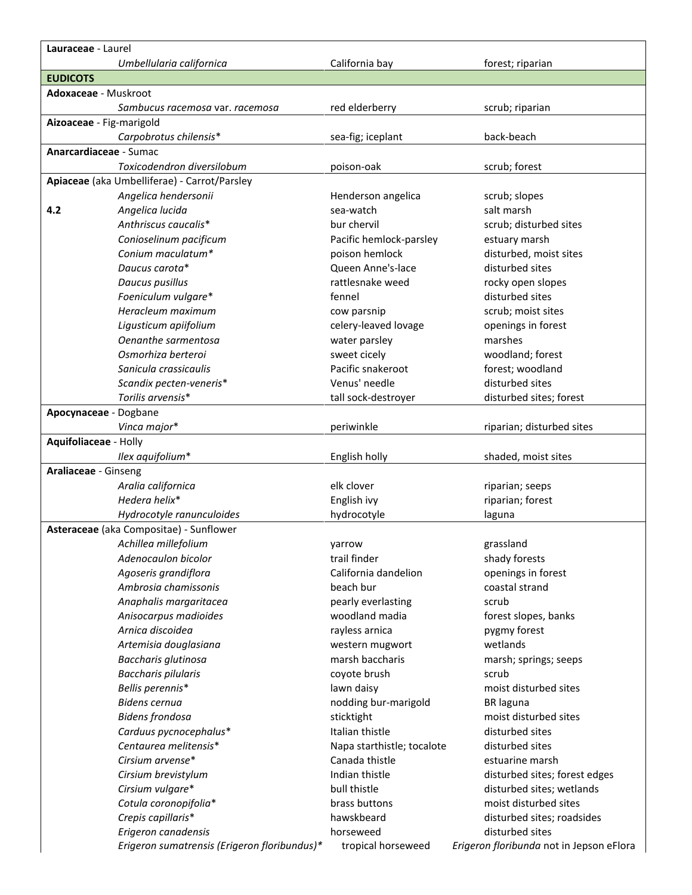| Lauraceae - Laurel                           |                            |                                          |
|----------------------------------------------|----------------------------|------------------------------------------|
| Umbellularia californica                     | California bay             | forest; riparian                         |
| <b>EUDICOTS</b>                              |                            |                                          |
| Adoxaceae - Muskroot                         |                            |                                          |
| Sambucus racemosa var. racemosa              | red elderberry             | scrub; riparian                          |
| Aizoaceae - Fig-marigold                     |                            |                                          |
| Carpobrotus chilensis*                       | sea-fig; iceplant          | back-beach                               |
| Anarcardiaceae - Sumac                       |                            |                                          |
| Toxicodendron diversilobum                   | poison-oak                 | scrub; forest                            |
| Apiaceae (aka Umbelliferae) - Carrot/Parsley |                            |                                          |
| Angelica hendersonii                         | Henderson angelica         | scrub; slopes                            |
| 4.2<br>Angelica lucida                       | sea-watch                  | salt marsh                               |
| Anthriscus caucalis*                         | bur chervil                | scrub; disturbed sites                   |
| Conioselinum pacificum                       | Pacific hemlock-parsley    | estuary marsh                            |
| Conium maculatum*                            | poison hemlock             | disturbed, moist sites                   |
| Daucus carota*                               | Queen Anne's-lace          | disturbed sites                          |
| Daucus pusillus                              | rattlesnake weed           | rocky open slopes                        |
| Foeniculum vulgare*                          | fennel                     | disturbed sites                          |
| Heracleum maximum                            | cow parsnip                | scrub; moist sites                       |
| Ligusticum apiifolium                        | celery-leaved lovage       | openings in forest                       |
| Oenanthe sarmentosa                          | water parsley              | marshes                                  |
| Osmorhiza berteroi                           | sweet cicely               | woodland; forest                         |
| Sanicula crassicaulis                        | Pacific snakeroot          | forest; woodland                         |
| Scandix pecten-veneris*                      | Venus' needle              | disturbed sites                          |
| Torilis arvensis*                            | tall sock-destroyer        | disturbed sites; forest                  |
| Apocynaceae - Dogbane                        |                            |                                          |
| Vinca major*                                 | periwinkle                 | riparian; disturbed sites                |
| Aquifoliaceae - Holly                        |                            |                                          |
| llex aquifolium*                             | English holly              | shaded, moist sites                      |
| Araliaceae - Ginseng                         |                            |                                          |
|                                              | elk clover                 |                                          |
| Aralia californica<br>Hedera helix*          |                            | riparian; seeps                          |
|                                              | English ivy                | riparian; forest                         |
| Hydrocotyle ranunculoides                    | hydrocotyle                | laguna                                   |
| Asteraceae (aka Compositae) - Sunflower      |                            |                                          |
| Achillea millefolium                         | yarrow                     | grassland                                |
| Adenocaulon bicolor                          | trail finder               | shady forests                            |
| Agoseris grandiflora                         | California dandelion       | openings in forest                       |
| Ambrosia chamissonis                         | beach bur                  | coastal strand                           |
| Anaphalis margaritacea                       | pearly everlasting         | scrub                                    |
| Anisocarpus madioides                        | woodland madia             | forest slopes, banks                     |
| Arnica discoidea                             | rayless arnica             | pygmy forest                             |
| Artemisia douglasiana                        | western mugwort            | wetlands                                 |
| Baccharis glutinosa                          | marsh baccharis            | marsh; springs; seeps                    |
| <b>Baccharis pilularis</b>                   | coyote brush               | scrub                                    |
| Bellis perennis*                             | lawn daisy                 | moist disturbed sites                    |
| <b>Bidens cernua</b>                         | nodding bur-marigold       | <b>BR</b> laguna                         |
| <b>Bidens frondosa</b>                       | sticktight                 | moist disturbed sites                    |
| Carduus pycnocephalus*                       | Italian thistle            | disturbed sites                          |
| Centaurea melitensis*                        | Napa starthistle; tocalote | disturbed sites                          |
| Cirsium arvense*                             | Canada thistle             | estuarine marsh                          |
| Cirsium brevistylum                          | Indian thistle             | disturbed sites; forest edges            |
| Cirsium vulgare*                             | bull thistle               | disturbed sites; wetlands                |
| Cotula coronopifolia*                        | brass buttons              | moist disturbed sites                    |
| Crepis capillaris*                           | hawskbeard                 | disturbed sites; roadsides               |
| Erigeron canadensis                          | horseweed                  | disturbed sites                          |
| Erigeron sumatrensis (Erigeron floribundus)* | tropical horseweed         | Erigeron floribunda not in Jepson eFlora |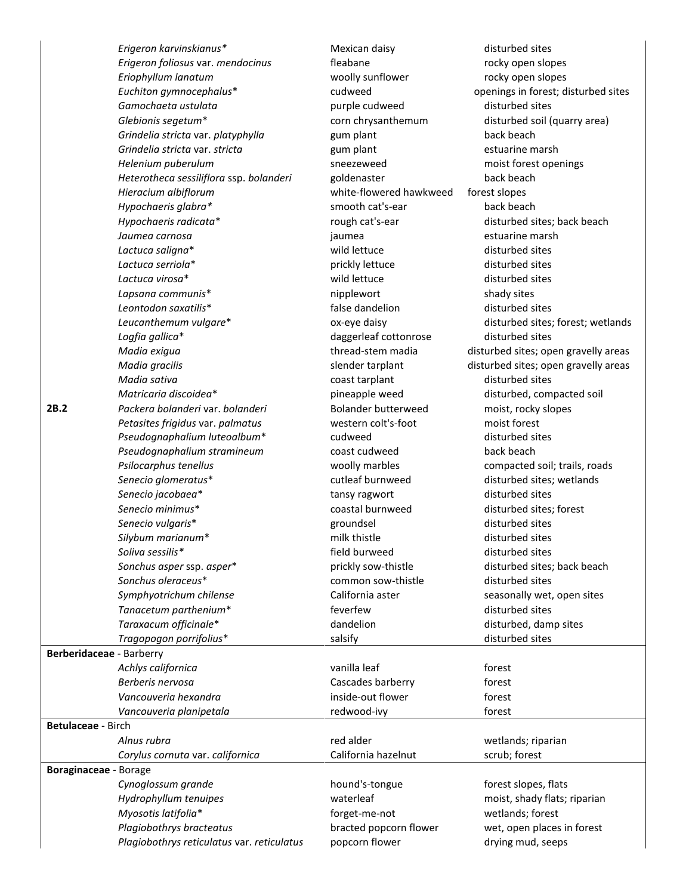|                    | Erigeron karvinskianus*<br>Erigeron foliosus var. mendocinus | Mexican daisy<br>fleabane  | disturbed sites<br>rocky open slopes                   |
|--------------------|--------------------------------------------------------------|----------------------------|--------------------------------------------------------|
|                    | Eriophyllum lanatum                                          | woolly sunflower           | rocky open slopes                                      |
|                    | Euchiton gymnocephalus*                                      | cudweed                    |                                                        |
|                    | Gamochaeta ustulata                                          | purple cudweed             | openings in forest; disturbed sites<br>disturbed sites |
|                    |                                                              |                            |                                                        |
|                    | Glebionis segetum*                                           | corn chrysanthemum         | disturbed soil (quarry area)                           |
|                    | Grindelia stricta var. platyphylla                           | gum plant                  | back beach                                             |
|                    | Grindelia stricta var. stricta                               | gum plant                  | estuarine marsh                                        |
|                    | Helenium puberulum                                           | sneezeweed                 | moist forest openings                                  |
|                    | Heterotheca sessiliflora ssp. bolanderi                      | goldenaster                | back beach                                             |
|                    | Hieracium albiflorum                                         | white-flowered hawkweed    | forest slopes                                          |
|                    | Hypochaeris glabra*                                          | smooth cat's-ear           | back beach                                             |
|                    | Hypochaeris radicata*                                        | rough cat's-ear            | disturbed sites; back beach                            |
|                    | Jaumea carnosa                                               | jaumea                     | estuarine marsh                                        |
|                    | Lactuca saligna*                                             | wild lettuce               | disturbed sites                                        |
|                    | Lactuca serriola*                                            | prickly lettuce            | disturbed sites                                        |
|                    | Lactuca virosa*                                              | wild lettuce               | disturbed sites                                        |
|                    | Lapsana communis*                                            | nipplewort                 | shady sites                                            |
|                    | Leontodon saxatilis*                                         | false dandelion            | disturbed sites                                        |
|                    | Leucanthemum vulgare*                                        | ox-eye daisy               | disturbed sites; forest; wetlands                      |
|                    | Logfia gallica*                                              | daggerleaf cottonrose      | disturbed sites                                        |
|                    | Madia exigua                                                 | thread-stem madia          | disturbed sites; open gravelly areas                   |
|                    | Madia gracilis                                               | slender tarplant           | disturbed sites; open gravelly areas                   |
|                    | Madia sativa                                                 | coast tarplant             | disturbed sites                                        |
|                    | Matricaria discoidea*                                        | pineapple weed             | disturbed, compacted soil                              |
| 2B.2               | Packera bolanderi var. bolanderi                             | <b>Bolander butterweed</b> | moist, rocky slopes                                    |
|                    | Petasites frigidus var. palmatus                             | western colt's-foot        | moist forest                                           |
|                    | Pseudognaphalium luteoalbum*                                 | cudweed                    | disturbed sites                                        |
|                    | Pseudognaphalium stramineum                                  | coast cudweed              | back beach                                             |
|                    | Psilocarphus tenellus                                        | woolly marbles             | compacted soil; trails, roads                          |
|                    | Senecio glomeratus*                                          | cutleaf burnweed           | disturbed sites; wetlands                              |
|                    | Senecio jacobaea*                                            | tansy ragwort              | disturbed sites                                        |
|                    | Senecio minimus*                                             | coastal burnweed           | disturbed sites; forest                                |
|                    | Senecio vulgaris*                                            | groundsel                  | disturbed sites                                        |
|                    | Silybum marianum*                                            | milk thistle               | disturbed sites                                        |
|                    | Soliva sessilis*                                             | field burweed              | disturbed sites                                        |
|                    | Sonchus asper ssp. asper*                                    | prickly sow-thistle        | disturbed sites; back beach                            |
|                    | Sonchus oleraceus*                                           | common sow-thistle         | disturbed sites                                        |
|                    | Symphyotrichum chilense                                      | California aster           | seasonally wet, open sites                             |
|                    | Tanacetum parthenium*                                        | feverfew                   | disturbed sites                                        |
|                    | Taraxacum officinale*                                        | dandelion                  | disturbed, damp sites                                  |
|                    | Tragopogon porrifolius*                                      | salsify                    | disturbed sites                                        |
|                    | Berberidaceae - Barberry                                     |                            |                                                        |
|                    | Achlys californica                                           | vanilla leaf               | forest                                                 |
|                    | Berberis nervosa                                             | Cascades barberry          | forest                                                 |
|                    | Vancouveria hexandra                                         | inside-out flower          | forest                                                 |
|                    |                                                              |                            |                                                        |
|                    | Vancouveria planipetala                                      | redwood-ivy                | forest                                                 |
| Betulaceae - Birch |                                                              |                            |                                                        |
|                    | Alnus rubra                                                  | red alder                  | wetlands; riparian                                     |
|                    | Corylus cornuta var. californica                             | California hazelnut        | scrub; forest                                          |
|                    | Boraginaceae - Borage                                        |                            |                                                        |
|                    | Cynoglossum grande                                           | hound's-tongue             | forest slopes, flats                                   |
|                    | Hydrophyllum tenuipes                                        | waterleaf                  | moist, shady flats; riparian                           |
|                    | Myosotis latifolia*                                          | forget-me-not              | wetlands; forest                                       |
|                    | Plagiobothrys bracteatus                                     | bracted popcorn flower     | wet, open places in forest                             |
|                    | Plagiobothrys reticulatus var. reticulatus                   | popcorn flower             | drying mud, seeps                                      |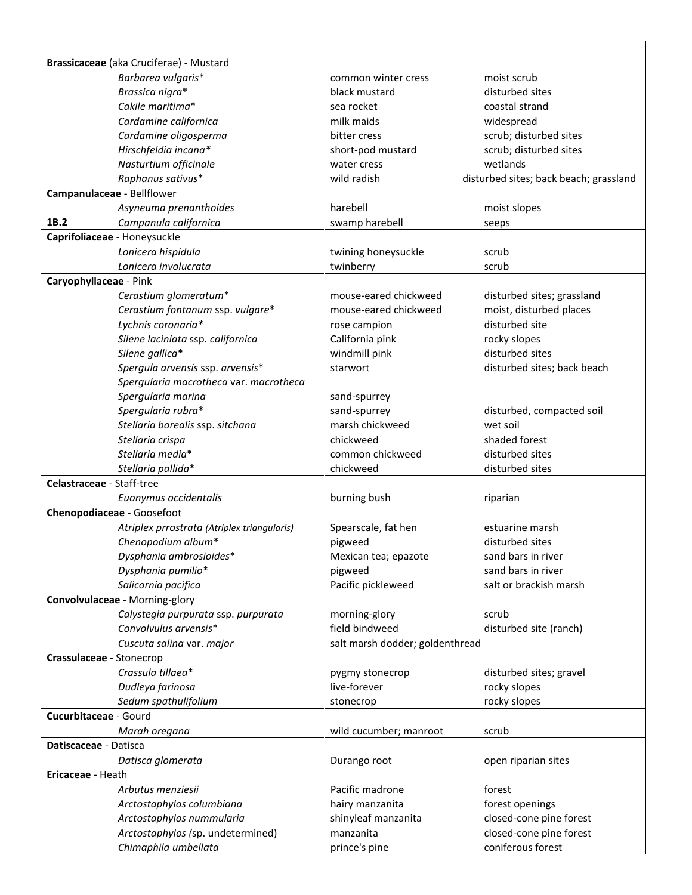|                           | Brassicaceae (aka Cruciferae) - Mustard     |                                 |                                        |
|---------------------------|---------------------------------------------|---------------------------------|----------------------------------------|
|                           | Barbarea vulgaris*                          | common winter cress             | moist scrub                            |
|                           | Brassica nigra*                             | black mustard                   | disturbed sites                        |
|                           | Cakile maritima*                            | sea rocket                      | coastal strand                         |
|                           | Cardamine californica                       | milk maids                      | widespread                             |
|                           | Cardamine oligosperma                       | bitter cress                    | scrub; disturbed sites                 |
|                           | Hirschfeldia incana*                        | short-pod mustard               | scrub; disturbed sites                 |
|                           | Nasturtium officinale                       | water cress                     | wetlands                               |
|                           | Raphanus sativus*                           | wild radish                     | disturbed sites; back beach; grassland |
|                           | Campanulaceae - Bellflower                  |                                 |                                        |
|                           | Asyneuma prenanthoides                      | harebell                        | moist slopes                           |
| 1B.2                      | Campanula californica                       | swamp harebell                  | seeps                                  |
|                           | Caprifoliaceae - Honeysuckle                |                                 |                                        |
|                           | Lonicera hispidula                          | twining honeysuckle             | scrub                                  |
|                           | Lonicera involucrata                        | twinberry                       | scrub                                  |
| Caryophyllaceae - Pink    |                                             |                                 |                                        |
|                           | Cerastium glomeratum*                       | mouse-eared chickweed           | disturbed sites; grassland             |
|                           | Cerastium fontanum ssp. vulgare*            | mouse-eared chickweed           | moist, disturbed places                |
|                           | Lychnis coronaria*                          | rose campion                    | disturbed site                         |
|                           | Silene laciniata ssp. californica           | California pink                 | rocky slopes                           |
|                           | Silene gallica*                             | windmill pink                   | disturbed sites                        |
|                           | Spergula arvensis ssp. arvensis*            | starwort                        | disturbed sites; back beach            |
|                           | Spergularia macrotheca var. macrotheca      |                                 |                                        |
|                           | Spergularia marina                          | sand-spurrey                    |                                        |
|                           | Spergularia rubra*                          | sand-spurrey                    | disturbed, compacted soil              |
|                           | Stellaria borealis ssp. sitchana            | marsh chickweed                 | wet soil                               |
|                           | Stellaria crispa                            | chickweed                       | shaded forest                          |
|                           | Stellaria media*                            | common chickweed                | disturbed sites                        |
|                           | Stellaria pallida*                          | chickweed                       | disturbed sites                        |
| Celastraceae - Staff-tree |                                             |                                 |                                        |
|                           | Euonymus occidentalis                       | burning bush                    | riparian                               |
|                           | Chenopodiaceae - Goosefoot                  |                                 |                                        |
|                           | Atriplex prrostrata (Atriplex triangularis) | Spearscale, fat hen             | estuarine marsh                        |
|                           | Chenopodium album*                          | pigweed                         | disturbed sites                        |
|                           | Dysphania ambrosioides*                     | Mexican tea; epazote            | sand bars in river                     |
|                           | Dysphania pumilio*                          | pigweed                         | sand bars in river                     |
|                           | Salicornia pacifica                         | Pacific pickleweed              | salt or brackish marsh                 |
|                           | Convolvulaceae - Morning-glory              |                                 |                                        |
|                           | Calystegia purpurata ssp. purpurata         | morning-glory                   | scrub                                  |
|                           | Convolvulus arvensis*                       | field bindweed                  | disturbed site (ranch)                 |
|                           | Cuscuta salina var. major                   | salt marsh dodder; goldenthread |                                        |
| Crassulaceae - Stonecrop  |                                             |                                 |                                        |
|                           | Crassula tillaea*                           | pygmy stonecrop                 | disturbed sites; gravel                |
|                           | Dudleya farinosa                            | live-forever                    | rocky slopes                           |
|                           | Sedum spathulifolium                        | stonecrop                       | rocky slopes                           |
| Cucurbitaceae - Gourd     |                                             |                                 |                                        |
|                           | Marah oregana                               | wild cucumber; manroot          | scrub                                  |
| Datiscaceae - Datisca     |                                             |                                 |                                        |
|                           | Datisca glomerata                           | Durango root                    | open riparian sites                    |
| Ericaceae - Heath         |                                             |                                 |                                        |
|                           | Arbutus menziesii                           | Pacific madrone                 | forest                                 |
|                           | Arctostaphylos columbiana                   | hairy manzanita                 | forest openings                        |
|                           | Arctostaphylos nummularia                   | shinyleaf manzanita             | closed-cone pine forest                |
|                           | Arctostaphylos (sp. undetermined)           | manzanita                       | closed-cone pine forest                |
|                           | Chimaphila umbellata                        | prince's pine                   | coniferous forest                      |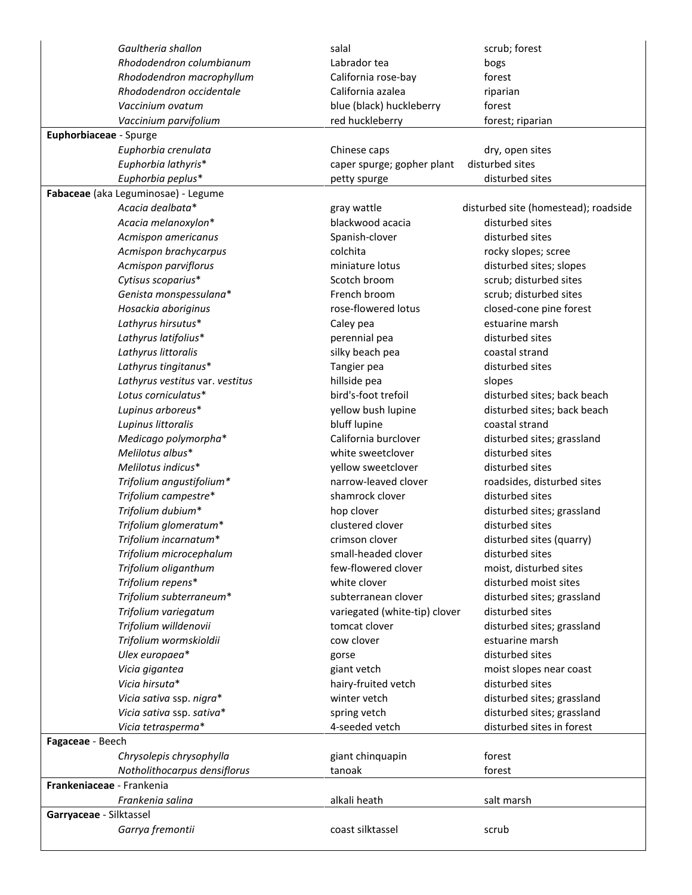| Gaultheria shallon                  | salal                         | scrub; forest                        |
|-------------------------------------|-------------------------------|--------------------------------------|
| Rhododendron columbianum            | Labrador tea                  | bogs                                 |
| Rhododendron macrophyllum           | California rose-bay           | forest                               |
| Rhododendron occidentale            | California azalea             | riparian                             |
| Vaccinium ovatum                    | blue (black) huckleberry      | forest                               |
| Vaccinium parvifolium               | red huckleberry               | forest; riparian                     |
| Euphorbiaceae - Spurge              |                               |                                      |
| Euphorbia crenulata                 | Chinese caps                  | dry, open sites                      |
| Euphorbia lathyris*                 | caper spurge; gopher plant    | disturbed sites                      |
| Euphorbia peplus*                   | petty spurge                  | disturbed sites                      |
| Fabaceae (aka Leguminosae) - Legume |                               |                                      |
| Acacia dealbata*                    | gray wattle                   | disturbed site (homestead); roadside |
| Acacia melanoxylon*                 | blackwood acacia              | disturbed sites                      |
| Acmispon americanus                 | Spanish-clover                | disturbed sites                      |
| Acmispon brachycarpus               | colchita                      | rocky slopes; scree                  |
| Acmispon parviflorus                | miniature lotus               | disturbed sites; slopes              |
| Cytisus scoparius*                  | Scotch broom                  | scrub; disturbed sites               |
| Genista monspessulana*              | French broom                  | scrub; disturbed sites               |
| Hosackia aboriginus                 | rose-flowered lotus           | closed-cone pine forest              |
| Lathyrus hirsutus*                  | Caley pea                     | estuarine marsh                      |
| Lathyrus latifolius*                | perennial pea                 | disturbed sites                      |
| Lathyrus littoralis                 | silky beach pea               | coastal strand                       |
| Lathyrus tingitanus*                | Tangier pea                   | disturbed sites                      |
| Lathyrus vestitus var. vestitus     | hillside pea                  | slopes                               |
| Lotus corniculatus*                 | bird's-foot trefoil           | disturbed sites; back beach          |
| Lupinus arboreus*                   | yellow bush lupine            | disturbed sites; back beach          |
| Lupinus littoralis                  | bluff lupine                  | coastal strand                       |
| Medicago polymorpha*                | California burclover          | disturbed sites; grassland           |
| Melilotus albus*                    | white sweetclover             | disturbed sites                      |
| Melilotus indicus*                  | yellow sweetclover            | disturbed sites                      |
| Trifolium angustifolium*            | narrow-leaved clover          | roadsides, disturbed sites           |
| Trifolium campestre*                | shamrock clover               | disturbed sites                      |
| Trifolium dubium*                   | hop clover                    | disturbed sites; grassland           |
| Trifolium glomeratum*               | clustered clover              | disturbed sites                      |
| Trifolium incarnatum*               | crimson clover                | disturbed sites (quarry)             |
| Trifolium microcephalum             | small-headed clover           | disturbed sites                      |
| Trifolium oliganthum                | few-flowered clover           | moist, disturbed sites               |
| Trifolium repens*                   | white clover                  | disturbed moist sites                |
| Trifolium subterraneum*             | subterranean clover           | disturbed sites; grassland           |
| Trifolium variegatum                |                               |                                      |
|                                     | variegated (white-tip) clover | disturbed sites                      |
| Trifolium willdenovii               | tomcat clover                 | disturbed sites; grassland           |
| Trifolium wormskioldii              | cow clover                    | estuarine marsh                      |
| Ulex europaea*                      | gorse                         | disturbed sites                      |
| Vicia gigantea                      | giant vetch                   | moist slopes near coast              |
| Vicia hirsuta*                      | hairy-fruited vetch           | disturbed sites                      |
| Vicia sativa ssp. nigra*            | winter vetch                  | disturbed sites; grassland           |
| Vicia sativa ssp. sativa*           | spring vetch                  | disturbed sites; grassland           |
| Vicia tetrasperma*                  | 4-seeded vetch                | disturbed sites in forest            |
| Fagaceae - Beech                    |                               |                                      |
| Chrysolepis chrysophylla            | giant chinquapin              | forest                               |
| Notholithocarpus densiflorus        | tanoak                        | forest                               |
| Frankeniaceae - Frankenia           |                               |                                      |
| Frankenia salina                    | alkali heath                  | salt marsh                           |
| Garryaceae - Silktassel             |                               |                                      |
| Garrya fremontii                    | coast silktassel              | scrub                                |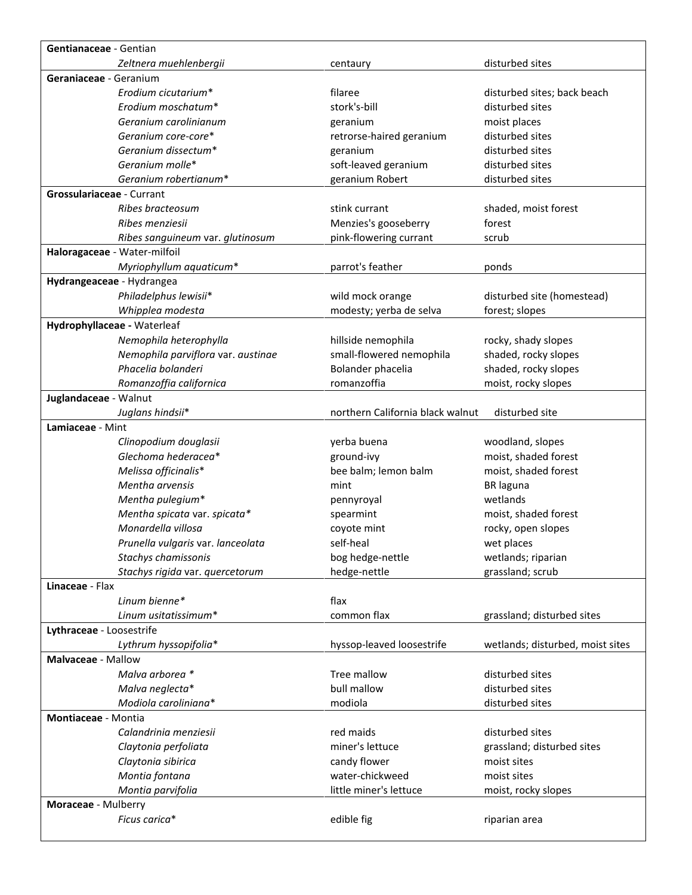| Gentianaceae - Gentian    |                                    |                                  |                                  |
|---------------------------|------------------------------------|----------------------------------|----------------------------------|
|                           | Zeltnera muehlenbergii             | centaury                         | disturbed sites                  |
| Geraniaceae - Geranium    |                                    |                                  |                                  |
|                           | Erodium cicutarium*                | filaree                          | disturbed sites; back beach      |
|                           | Erodium moschatum*                 | stork's-bill                     | disturbed sites                  |
|                           | Geranium carolinianum              | geranium                         | moist places                     |
|                           | Geranium core-core*                | retrorse-haired geranium         | disturbed sites                  |
|                           | Geranium dissectum*                | geranium                         | disturbed sites                  |
|                           | Geranium molle*                    | soft-leaved geranium             | disturbed sites                  |
|                           | Geranium robertianum*              | geranium Robert                  | disturbed sites                  |
| Grossulariaceae - Currant |                                    |                                  |                                  |
|                           | Ribes bracteosum                   | stink currant                    | shaded, moist forest             |
|                           | Ribes menziesii                    | Menzies's gooseberry             | forest                           |
|                           | Ribes sanguineum var. glutinosum   | pink-flowering currant           | scrub                            |
|                           | Haloragaceae - Water-milfoil       |                                  |                                  |
|                           | Myriophyllum aquaticum*            | parrot's feather                 | ponds                            |
| Hydrangeaceae - Hydrangea |                                    |                                  |                                  |
|                           | Philadelphus lewisii*              | wild mock orange                 | disturbed site (homestead)       |
|                           | Whipplea modesta                   | modesty; yerba de selva          | forest; slopes                   |
|                           | Hydrophyllaceae - Waterleaf        |                                  |                                  |
|                           | Nemophila heterophylla             | hillside nemophila               | rocky, shady slopes              |
|                           | Nemophila parviflora var. austinae | small-flowered nemophila         | shaded, rocky slopes             |
|                           | Phacelia bolanderi                 | Bolander phacelia                | shaded, rocky slopes             |
|                           | Romanzoffia californica            | romanzoffia                      | moist, rocky slopes              |
| Juglandaceae - Walnut     |                                    |                                  |                                  |
|                           | Juglans hindsii*                   | northern California black walnut | disturbed site                   |
| Lamiaceae - Mint          |                                    |                                  |                                  |
|                           | Clinopodium douglasii              | yerba buena                      | woodland, slopes                 |
|                           | Glechoma hederacea*                | ground-ivy                       | moist, shaded forest             |
|                           | Melissa officinalis*               | bee balm; lemon balm             | moist, shaded forest             |
|                           | Mentha arvensis                    | mint                             | BR laguna                        |
|                           | Mentha pulegium*                   | pennyroyal                       | wetlands                         |
|                           | Mentha spicata var. spicata*       | spearmint                        | moist, shaded forest             |
|                           | Monardella villosa                 | coyote mint                      | rocky, open slopes               |
|                           | Prunella vulgaris var. lanceolata  | self-heal                        | wet places                       |
|                           | Stachys chamissonis                | bog hedge-nettle                 | wetlands; riparian               |
|                           | Stachys rigida var. quercetorum    | hedge-nettle                     | grassland; scrub                 |
| Linaceae - Flax           |                                    |                                  |                                  |
|                           | Linum bienne*                      | flax                             |                                  |
|                           | Linum usitatissimum*               | common flax                      | grassland; disturbed sites       |
| Lythraceae - Loosestrife  |                                    |                                  |                                  |
|                           | Lythrum hyssopifolia*              | hyssop-leaved loosestrife        | wetlands; disturbed, moist sites |
| Malvaceae - Mallow        |                                    |                                  |                                  |
|                           | Malva arborea *                    | Tree mallow                      | disturbed sites                  |
|                           | Malva neglecta*                    | bull mallow                      | disturbed sites                  |
|                           | Modiola caroliniana*               | modiola                          | disturbed sites                  |
| Montiaceae - Montia       |                                    |                                  |                                  |
|                           | Calandrinia menziesii              | red maids                        | disturbed sites                  |
|                           | Claytonia perfoliata               | miner's lettuce                  | grassland; disturbed sites       |
|                           | Claytonia sibirica                 | candy flower                     | moist sites                      |
|                           | Montia fontana                     | water-chickweed                  | moist sites                      |
|                           | Montia parvifolia                  | little miner's lettuce           | moist, rocky slopes              |
| Moraceae - Mulberry       |                                    |                                  |                                  |
|                           | Ficus carica*                      | edible fig                       | riparian area                    |
|                           |                                    |                                  |                                  |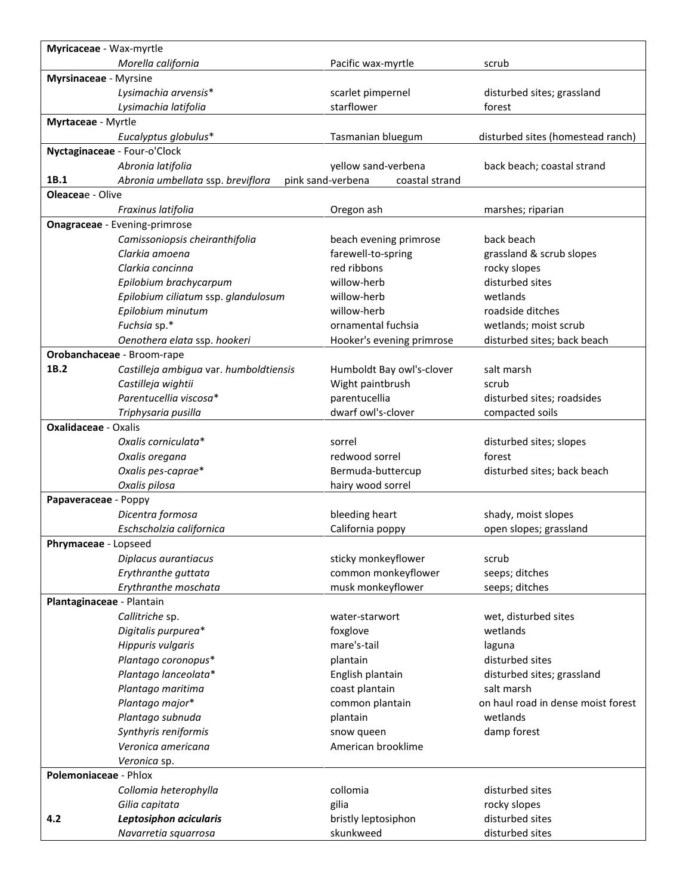| Myricaceae - Wax-myrtle                        |                                     |                                    |
|------------------------------------------------|-------------------------------------|------------------------------------|
| Morella california                             | Pacific wax-myrtle                  | scrub                              |
| Myrsinaceae - Myrsine                          |                                     |                                    |
| Lysimachia arvensis*                           | scarlet pimpernel                   | disturbed sites; grassland         |
| Lysimachia latifolia                           | starflower                          | forest                             |
| Myrtaceae - Myrtle                             |                                     |                                    |
| Eucalyptus globulus*                           | Tasmanian bluegum                   | disturbed sites (homestead ranch)  |
| Nyctaginaceae - Four-o'Clock                   |                                     |                                    |
| Abronia latifolia                              | yellow sand-verbena                 | back beach; coastal strand         |
| Abronia umbellata ssp. breviflora<br>1B.1      | pink sand-verbena<br>coastal strand |                                    |
| Oleaceae - Olive                               |                                     |                                    |
| Fraxinus latifolia                             | Oregon ash                          | marshes; riparian                  |
| Onagraceae - Evening-primrose                  |                                     |                                    |
| Camissoniopsis cheiranthifolia                 | beach evening primrose              | back beach                         |
| Clarkia amoena                                 | farewell-to-spring                  | grassland & scrub slopes           |
| Clarkia concinna                               | red ribbons                         | rocky slopes                       |
| Epilobium brachycarpum                         | willow-herb                         | disturbed sites                    |
| Epilobium ciliatum ssp. glandulosum            | willow-herb                         | wetlands                           |
| Epilobium minutum                              | willow-herb                         | roadside ditches                   |
| Fuchsia sp.*                                   | ornamental fuchsia                  | wetlands; moist scrub              |
| Oenothera elata ssp. hookeri                   | Hooker's evening primrose           | disturbed sites; back beach        |
| Orobanchaceae - Broom-rape                     |                                     |                                    |
| 1B.2<br>Castilleja ambigua var. humboldtiensis | Humboldt Bay owl's-clover           | salt marsh                         |
| Castilleja wightii                             | Wight paintbrush                    | scrub                              |
| Parentucellia viscosa*                         | parentucellia                       | disturbed sites; roadsides         |
| Triphysaria pusilla                            | dwarf owl's-clover                  | compacted soils                    |
| <b>Oxalidaceae - Oxalis</b>                    |                                     |                                    |
| Oxalis corniculata*                            | sorrel                              | disturbed sites; slopes            |
| Oxalis oregana                                 | redwood sorrel                      | forest                             |
| Oxalis pes-caprae*                             | Bermuda-buttercup                   | disturbed sites; back beach        |
| Oxalis pilosa                                  | hairy wood sorrel                   |                                    |
| Papaveraceae - Poppy                           |                                     |                                    |
| Dicentra formosa                               | bleeding heart                      | shady, moist slopes                |
| Eschscholzia californica                       | California poppy                    | open slopes; grassland             |
| Phrymaceae - Lopseed                           |                                     |                                    |
| Diplacus aurantiacus                           | sticky monkeyflower                 | scrub                              |
| Erythranthe guttata                            | common monkeyflower                 | seeps; ditches                     |
| Erythranthe moschata                           | musk monkeyflower                   | seeps; ditches                     |
| Plantaginaceae - Plantain                      |                                     |                                    |
| Callitriche sp.                                | water-starwort                      | wet, disturbed sites               |
| Digitalis purpurea*                            | foxglove                            | wetlands                           |
| Hippuris vulgaris                              | mare's-tail                         | laguna                             |
| Plantago coronopus*                            | plantain                            | disturbed sites                    |
| Plantago lanceolata*                           | English plantain                    | disturbed sites; grassland         |
| Plantago maritima                              | coast plantain                      | salt marsh                         |
| Plantago major*                                | common plantain                     | on haul road in dense moist forest |
| Plantago subnuda                               | plantain                            | wetlands                           |
| Synthyris reniformis                           | snow queen                          | damp forest                        |
| Veronica americana                             | American brooklime                  |                                    |
| Veronica sp.                                   |                                     |                                    |
| Polemoniaceae - Phlox                          |                                     |                                    |
| Collomia heterophylla                          | collomia                            | disturbed sites                    |
| Gilia capitata                                 | gilia                               | rocky slopes                       |
| 4.2<br>Leptosiphon acicularis                  | bristly leptosiphon                 | disturbed sites                    |
| Navarretia squarrosa                           | skunkweed                           | disturbed sites                    |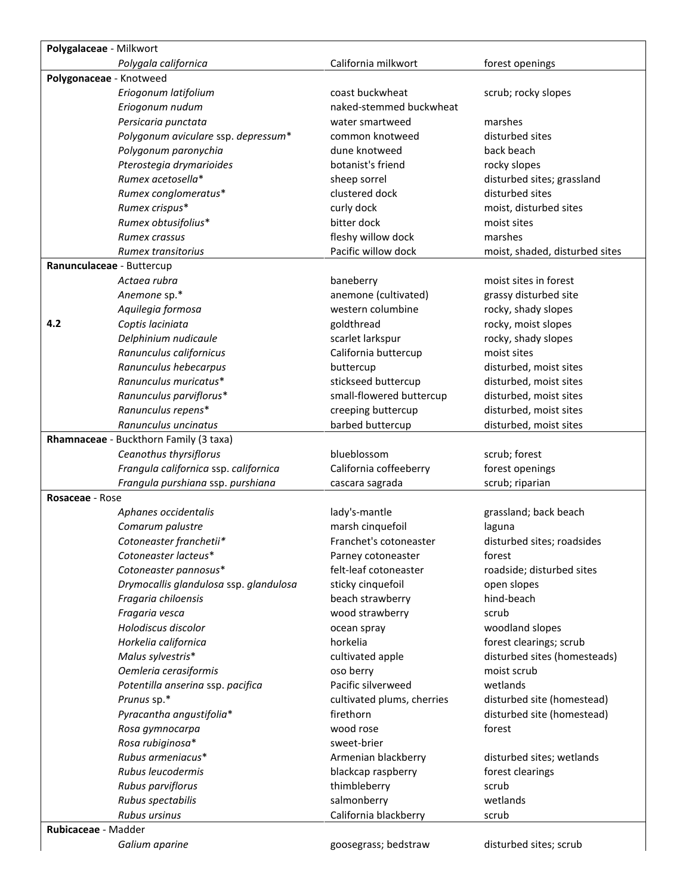|                 | Polygalaceae - Milkwort                |                            |                                |
|-----------------|----------------------------------------|----------------------------|--------------------------------|
|                 | Polygala californica                   | California milkwort        | forest openings                |
|                 | Polygonaceae - Knotweed                |                            |                                |
|                 | Eriogonum latifolium                   | coast buckwheat            | scrub; rocky slopes            |
|                 | Eriogonum nudum                        | naked-stemmed buckwheat    |                                |
|                 | Persicaria punctata                    | water smartweed            | marshes                        |
|                 | Polygonum aviculare ssp. depressum*    | common knotweed            | disturbed sites                |
|                 | Polygonum paronychia                   | dune knotweed              | back beach                     |
|                 | Pterostegia drymarioides               | botanist's friend          | rocky slopes                   |
|                 | Rumex acetosella*                      | sheep sorrel               | disturbed sites; grassland     |
|                 | Rumex conglomeratus*                   | clustered dock             | disturbed sites                |
|                 | Rumex crispus*                         | curly dock                 | moist, disturbed sites         |
|                 | Rumex obtusifolius*                    | bitter dock                | moist sites                    |
|                 | Rumex crassus                          | fleshy willow dock         | marshes                        |
|                 | Rumex transitorius                     | Pacific willow dock        | moist, shaded, disturbed sites |
|                 | Ranunculaceae - Buttercup              |                            |                                |
|                 | Actaea rubra                           | baneberry                  | moist sites in forest          |
|                 | Anemone sp.*                           | anemone (cultivated)       | grassy disturbed site          |
|                 | Aquilegia formosa                      | western columbine          | rocky, shady slopes            |
| 4.2             | Coptis laciniata                       | goldthread                 | rocky, moist slopes            |
|                 | Delphinium nudicaule                   | scarlet larkspur           | rocky, shady slopes            |
|                 | Ranunculus californicus                | California buttercup       | moist sites                    |
|                 | Ranunculus hebecarpus                  | buttercup                  | disturbed, moist sites         |
|                 | Ranunculus muricatus*                  | stickseed buttercup        | disturbed, moist sites         |
|                 | Ranunculus parviflorus*                | small-flowered buttercup   | disturbed, moist sites         |
|                 | Ranunculus repens*                     | creeping buttercup         | disturbed, moist sites         |
|                 | Ranunculus uncinatus                   | barbed buttercup           | disturbed, moist sites         |
|                 | Rhamnaceae - Buckthorn Family (3 taxa) |                            |                                |
|                 | Ceanothus thyrsiflorus                 | blueblossom                | scrub; forest                  |
|                 | Frangula californica ssp. californica  | California coffeeberry     | forest openings                |
|                 | Frangula purshiana ssp. purshiana      | cascara sagrada            | scrub; riparian                |
| Rosaceae - Rose |                                        |                            |                                |
|                 | Aphanes occidentalis                   | lady's-mantle              | grassland; back beach          |
|                 | Comarum palustre                       | marsh cinquefoil           | laguna                         |
|                 | Cotoneaster franchetii*                | Franchet's cotoneaster     | disturbed sites; roadsides     |
|                 | Cotoneaster lacteus*                   | Parney cotoneaster         | forest                         |
|                 | Cotoneaster pannosus*                  | felt-leaf cotoneaster      | roadside; disturbed sites      |
|                 | Drymocallis glandulosa ssp. glandulosa | sticky cinquefoil          | open slopes                    |
|                 | Fragaria chiloensis                    | beach strawberry           | hind-beach                     |
|                 | Fragaria vesca                         | wood strawberry            | scrub                          |
|                 | Holodiscus discolor                    | ocean spray                | woodland slopes                |
|                 | Horkelia californica                   | horkelia                   | forest clearings; scrub        |
|                 | Malus sylvestris*                      | cultivated apple           | disturbed sites (homesteads)   |
|                 | Oemleria cerasiformis                  | oso berry                  | moist scrub                    |
|                 | Potentilla anserina ssp. pacifica      | Pacific silverweed         | wetlands                       |
|                 | Prunus sp.*                            | cultivated plums, cherries | disturbed site (homestead)     |
|                 | Pyracantha angustifolia*               | firethorn                  | disturbed site (homestead)     |
|                 | Rosa gymnocarpa                        | wood rose                  | forest                         |
|                 | Rosa rubiginosa*                       | sweet-brier                |                                |
|                 | Rubus armeniacus*                      | Armenian blackberry        | disturbed sites; wetlands      |
|                 | Rubus leucodermis                      | blackcap raspberry         | forest clearings               |
|                 | Rubus parviflorus                      | thimbleberry               | scrub                          |
|                 | Rubus spectabilis                      | salmonberry                | wetlands                       |
|                 | Rubus ursinus                          | California blackberry      | scrub                          |
|                 | Rubicaceae - Madder                    |                            |                                |
|                 | Galium aparine                         | goosegrass; bedstraw       | disturbed sites; scrub         |
|                 |                                        |                            |                                |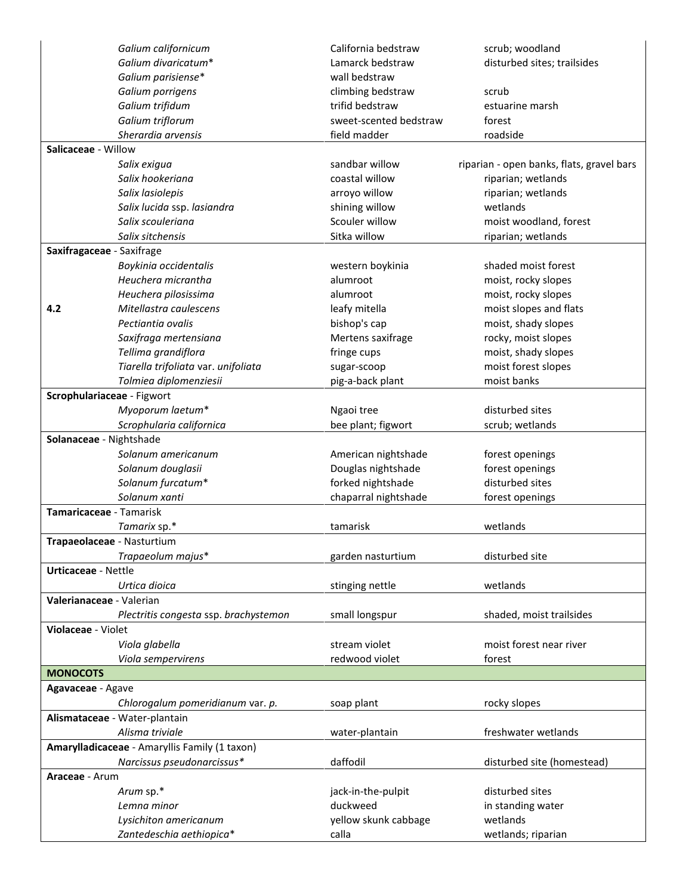|                            | Galium californicum                           | California bedstraw    | scrub; woodland                           |
|----------------------------|-----------------------------------------------|------------------------|-------------------------------------------|
|                            | Galium divaricatum*                           | Lamarck bedstraw       | disturbed sites; trailsides               |
|                            | Galium parisiense*                            | wall bedstraw          |                                           |
|                            | Galium porrigens                              | climbing bedstraw      | scrub                                     |
|                            | Galium trifidum                               | trifid bedstraw        | estuarine marsh                           |
|                            | Galium triflorum                              | sweet-scented bedstraw | forest                                    |
|                            | Sherardia arvensis                            | field madder           | roadside                                  |
| Salicaceae - Willow        |                                               |                        |                                           |
|                            | Salix exigua                                  | sandbar willow         | riparian - open banks, flats, gravel bars |
|                            | Salix hookeriana                              | coastal willow         | riparian; wetlands                        |
|                            | Salix lasiolepis                              | arroyo willow          | riparian; wetlands                        |
|                            | Salix lucida ssp. lasiandra                   | shining willow         | wetlands                                  |
|                            | Salix scouleriana                             | Scouler willow         | moist woodland, forest                    |
|                            | Salix sitchensis                              | Sitka willow           | riparian; wetlands                        |
| Saxifragaceae - Saxifrage  |                                               |                        |                                           |
|                            | Boykinia occidentalis                         | western boykinia       | shaded moist forest                       |
|                            | Heuchera micrantha                            | alumroot               | moist, rocky slopes                       |
|                            | Heuchera pilosissima                          | alumroot               | moist, rocky slopes                       |
| 4.2                        | Mitellastra caulescens                        | leafy mitella          | moist slopes and flats                    |
|                            | Pectiantia ovalis                             | bishop's cap           | moist, shady slopes                       |
|                            | Saxifraga mertensiana                         | Mertens saxifrage      | rocky, moist slopes                       |
|                            | Tellima grandiflora                           | fringe cups            | moist, shady slopes                       |
|                            | Tiarella trifoliata var. unifoliata           | sugar-scoop            | moist forest slopes                       |
|                            | Tolmiea diplomenziesii                        | pig-a-back plant       | moist banks                               |
| Scrophulariaceae - Figwort |                                               |                        |                                           |
|                            | Myoporum laetum*                              | Ngaoi tree             | disturbed sites                           |
|                            | Scrophularia californica                      | bee plant; figwort     | scrub; wetlands                           |
| Solanaceae - Nightshade    |                                               |                        |                                           |
|                            | Solanum americanum                            | American nightshade    | forest openings                           |
|                            | Solanum douglasii                             | Douglas nightshade     | forest openings                           |
|                            | Solanum furcatum*                             | forked nightshade      | disturbed sites                           |
|                            | Solanum xanti                                 | chaparral nightshade   | forest openings                           |
| Tamaricaceae - Tamarisk    |                                               |                        |                                           |
|                            | Tamarix sp.*                                  | tamarisk               | wetlands                                  |
|                            | Trapaeolaceae - Nasturtium                    |                        |                                           |
|                            | Trapaeolum majus*                             | garden nasturtium      | disturbed site                            |
| <b>Urticaceae - Nettle</b> |                                               |                        |                                           |
|                            | Urtica dioica                                 |                        |                                           |
| Valerianaceae - Valerian   |                                               | stinging nettle        | wetlands                                  |
|                            |                                               |                        |                                           |
|                            | Plectritis congesta ssp. brachystemon         | small longspur         | shaded, moist trailsides                  |
| Violaceae - Violet         |                                               |                        |                                           |
|                            | Viola glabella                                | stream violet          | moist forest near river                   |
|                            | Viola sempervirens                            | redwood violet         | forest                                    |
| <b>MONOCOTS</b>            |                                               |                        |                                           |
| Agavaceae - Agave          |                                               |                        |                                           |
|                            | Chlorogalum pomeridianum var. p.              | soap plant             | rocky slopes                              |
|                            | Alismataceae - Water-plantain                 |                        |                                           |
|                            | Alisma triviale                               | water-plantain         | freshwater wetlands                       |
|                            | Amarylladicaceae - Amaryllis Family (1 taxon) |                        |                                           |
|                            | Narcissus pseudonarcissus*                    | daffodil               | disturbed site (homestead)                |
| Araceae - Arum             |                                               |                        |                                           |
|                            | Arum sp.*                                     | jack-in-the-pulpit     | disturbed sites                           |
|                            | Lemna minor                                   | duckweed               | in standing water                         |
|                            | Lysichiton americanum                         | yellow skunk cabbage   | wetlands                                  |
|                            | Zantedeschia aethiopica*                      | calla                  | wetlands; riparian                        |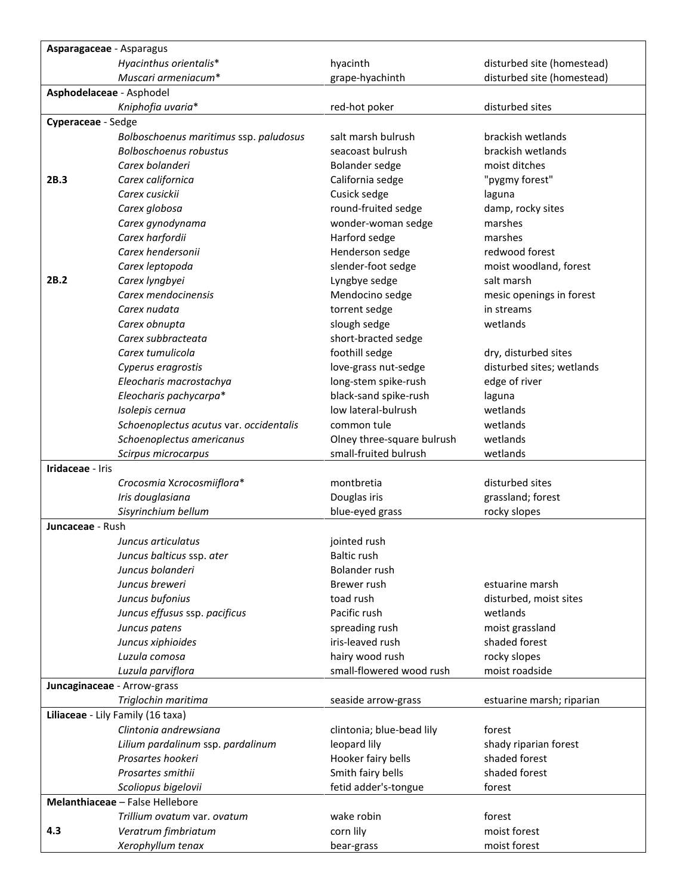| Asparagaceae - Asparagus        |                                          |                                                     |                                   |
|---------------------------------|------------------------------------------|-----------------------------------------------------|-----------------------------------|
|                                 | Hyacinthus orientalis*                   | hyacinth                                            | disturbed site (homestead)        |
|                                 | Muscari armeniacum*                      | grape-hyachinth                                     | disturbed site (homestead)        |
| Asphodelaceae - Asphodel        |                                          |                                                     |                                   |
|                                 | Kniphofia uvaria*                        | red-hot poker                                       | disturbed sites                   |
| Cyperaceae - Sedge              |                                          |                                                     |                                   |
|                                 | Bolboschoenus maritimus ssp. paludosus   | salt marsh bulrush                                  | brackish wetlands                 |
|                                 | <b>Bolboschoenus robustus</b>            | seacoast bulrush                                    | brackish wetlands                 |
|                                 | Carex bolanderi                          | Bolander sedge                                      | moist ditches                     |
| 2B.3                            | Carex californica                        | California sedge                                    | "pygmy forest"                    |
|                                 | Carex cusickii                           | Cusick sedge                                        | laguna                            |
|                                 | Carex globosa                            | round-fruited sedge                                 | damp, rocky sites                 |
|                                 | Carex gynodynama                         | wonder-woman sedge                                  | marshes                           |
|                                 | Carex harfordii                          | Harford sedge                                       | marshes                           |
|                                 | Carex hendersonii                        | Henderson sedge                                     | redwood forest                    |
|                                 | Carex leptopoda                          | slender-foot sedge                                  | moist woodland, forest            |
| 2B.2                            | Carex lyngbyei                           | Lyngbye sedge                                       | salt marsh                        |
|                                 | Carex mendocinensis                      | Mendocino sedge                                     | mesic openings in forest          |
|                                 | Carex nudata                             | torrent sedge                                       | in streams                        |
|                                 | Carex obnupta                            | slough sedge                                        | wetlands                          |
|                                 | Carex subbracteata                       | short-bracted sedge                                 |                                   |
|                                 | Carex tumulicola                         | foothill sedge                                      | dry, disturbed sites              |
|                                 |                                          | love-grass nut-sedge                                |                                   |
|                                 | Cyperus eragrostis                       |                                                     | disturbed sites; wetlands         |
|                                 | Eleocharis macrostachya                  | long-stem spike-rush                                | edge of river                     |
|                                 | Eleocharis pachycarpa*                   | black-sand spike-rush<br>low lateral-bulrush        | laguna<br>wetlands                |
|                                 | Isolepis cernua                          | common tule                                         | wetlands                          |
|                                 | Schoenoplectus acutus var. occidentalis  |                                                     | wetlands                          |
|                                 | Schoenoplectus americanus                | Olney three-square bulrush<br>small-fruited bulrush |                                   |
| Iridaceae - Iris                | Scirpus microcarpus                      |                                                     | wetlands                          |
|                                 | Crocosmia Xcrocosmiiflora*               | montbretia                                          | disturbed sites                   |
|                                 |                                          | Douglas iris                                        |                                   |
|                                 | Iris douglasiana<br>Sisyrinchium bellum  | blue-eyed grass                                     | grassland; forest<br>rocky slopes |
| Juncaceae - Rush                |                                          |                                                     |                                   |
|                                 | Juncus articulatus                       | jointed rush                                        |                                   |
|                                 | Juncus balticus ssp. ater                | <b>Baltic rush</b>                                  |                                   |
|                                 | Juncus bolanderi                         | Bolander rush                                       |                                   |
|                                 | Juncus breweri                           |                                                     |                                   |
|                                 |                                          | Brewer rush                                         | estuarine marsh                   |
|                                 | Juncus bufonius                          | toad rush<br>Pacific rush                           | disturbed, moist sites            |
|                                 | Juncus effusus ssp. pacificus            |                                                     | wetlands                          |
|                                 | Juncus patens                            | spreading rush                                      | moist grassland                   |
|                                 | Juncus xiphioides                        | iris-leaved rush                                    | shaded forest                     |
|                                 | Luzula comosa                            | hairy wood rush                                     | rocky slopes                      |
|                                 | Luzula parviflora                        | small-flowered wood rush                            | moist roadside                    |
|                                 | Juncaginaceae - Arrow-grass              |                                                     |                                   |
|                                 | Triglochin maritima                      | seaside arrow-grass                                 | estuarine marsh; riparian         |
|                                 | Liliaceae - Lily Family (16 taxa)        |                                                     |                                   |
|                                 | Clintonia andrewsiana                    | clintonia; blue-bead lily                           | forest                            |
|                                 | Lilium pardalinum ssp. pardalinum        | leopard lily                                        | shady riparian forest             |
|                                 | Prosartes hookeri                        | Hooker fairy bells                                  | shaded forest                     |
|                                 | Prosartes smithii                        | Smith fairy bells                                   | shaded forest                     |
|                                 | Scoliopus bigelovii                      | fetid adder's-tongue                                | forest                            |
| Melanthiaceae - False Hellebore |                                          |                                                     |                                   |
|                                 |                                          |                                                     |                                   |
|                                 | Trillium ovatum var. ovatum              | wake robin                                          | forest                            |
| 4.3                             | Veratrum fimbriatum<br>Xerophyllum tenax | corn lily<br>bear-grass                             | moist forest<br>moist forest      |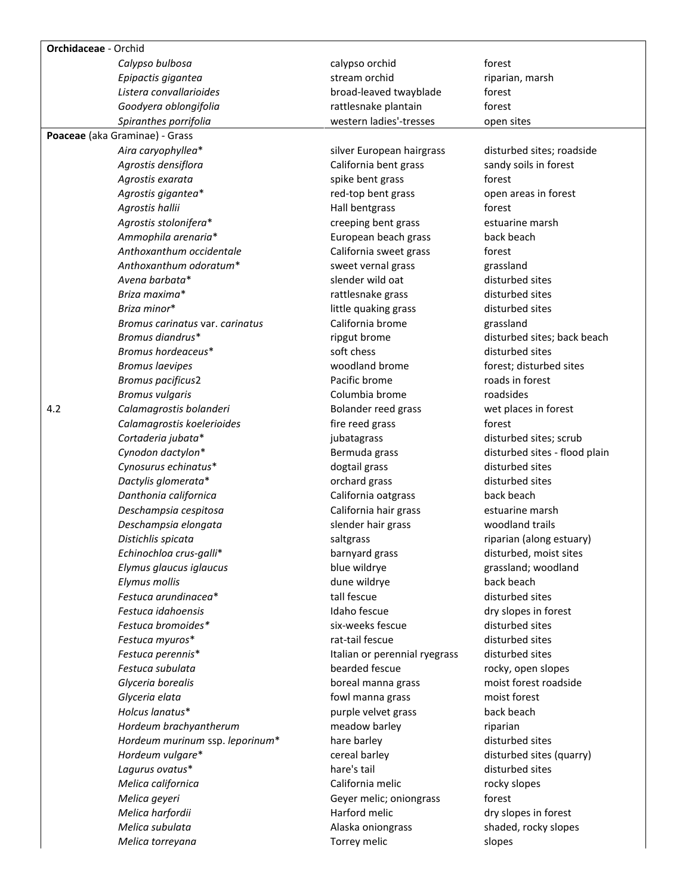|     | <b>Orchidaceae</b> - Orchid     |                               |                               |
|-----|---------------------------------|-------------------------------|-------------------------------|
|     | Calypso bulbosa                 | calypso orchid                | forest                        |
|     | Epipactis gigantea              | stream orchid                 | riparian, marsh               |
|     | Listera convallarioides         | broad-leaved twayblade        | forest                        |
|     | Goodyera oblongifolia           | rattlesnake plantain          | forest                        |
|     | Spiranthes porrifolia           | western ladies'-tresses       | open sites                    |
|     | Poaceae (aka Graminae) - Grass  |                               |                               |
|     | Aira caryophyllea*              | silver European hairgrass     | disturbed sites; roadside     |
|     | Agrostis densiflora             | California bent grass         | sandy soils in forest         |
|     | Agrostis exarata                | spike bent grass              | forest                        |
|     | Agrostis gigantea*              | red-top bent grass            | open areas in forest          |
|     | Agrostis hallii                 | Hall bentgrass                | forest                        |
|     | Agrostis stolonifera*           | creeping bent grass           | estuarine marsh               |
|     | Ammophila arenaria*             | European beach grass          | back beach                    |
|     | Anthoxanthum occidentale        | California sweet grass        | forest                        |
|     | Anthoxanthum odoratum*          | sweet vernal grass            | grassland                     |
|     | Avena barbata*                  | slender wild oat              | disturbed sites               |
|     | Briza maxima*                   | rattlesnake grass             | disturbed sites               |
|     | Briza minor*                    | little quaking grass          | disturbed sites               |
|     | Bromus carinatus var. carinatus | California brome              | grassland                     |
|     | Bromus diandrus*                | ripgut brome                  | disturbed sites; back beach   |
|     | Bromus hordeaceus*              | soft chess                    | disturbed sites               |
|     | <b>Bromus laevipes</b>          | woodland brome                | forest; disturbed sites       |
|     | <b>Bromus pacificus2</b>        | Pacific brome                 | roads in forest               |
|     | <b>Bromus vulgaris</b>          | Columbia brome                | roadsides                     |
| 4.2 | Calamagrostis bolanderi         | Bolander reed grass           | wet places in forest          |
|     | Calamagrostis koelerioides      | fire reed grass               | forest                        |
|     | Cortaderia jubata*              | jubatagrass                   | disturbed sites; scrub        |
|     | Cynodon dactylon*               | Bermuda grass                 | disturbed sites - flood plain |
|     | Cynosurus echinatus*            | dogtail grass                 | disturbed sites               |
|     | Dactylis glomerata*             | orchard grass                 | disturbed sites               |
|     | Danthonia californica           | California oatgrass           | back beach                    |
|     | Deschampsia cespitosa           | California hair grass         | estuarine marsh               |
|     | Deschampsia elongata            | slender hair grass            | woodland trails               |
|     | Distichlis spicata              | saltgrass                     | riparian (along estuary)      |
|     | Echinochloa crus-galli*         | barnyard grass                | disturbed, moist sites        |
|     | Elymus glaucus iglaucus         | blue wildrye                  | grassland; woodland           |
|     | Elymus mollis                   | dune wildrye                  | back beach                    |
|     | Festuca arundinacea*            | tall fescue                   | disturbed sites               |
|     | Festuca idahoensis              | Idaho fescue                  | dry slopes in forest          |
|     | Festuca bromoides*              | six-weeks fescue              | disturbed sites               |
|     | Festuca myuros*                 | rat-tail fescue               | disturbed sites               |
|     | Festuca perennis*               | Italian or perennial ryegrass | disturbed sites               |
|     | Festuca subulata                | bearded fescue                | rocky, open slopes            |
|     | Glyceria borealis               | boreal manna grass            | moist forest roadside         |
|     | Glyceria elata                  | fowl manna grass              | moist forest                  |
|     | Holcus lanatus*                 | purple velvet grass           | back beach                    |
|     | Hordeum brachyantherum          | meadow barley                 | riparian                      |
|     | Hordeum murinum ssp. leporinum* | hare barley                   | disturbed sites               |
|     | Hordeum vulgare*                | cereal barley                 | disturbed sites (quarry)      |
|     | Lagurus ovatus*                 | hare's tail                   | disturbed sites               |
|     | Melica californica              | California melic              | rocky slopes                  |
|     | Melica geyeri                   | Geyer melic; oniongrass       | forest                        |
|     | Melica harfordii                | Harford melic                 | dry slopes in forest          |
|     | Melica subulata                 | Alaska oniongrass             | shaded, rocky slopes          |
|     | Melica torreyana                | Torrey melic                  | slopes                        |